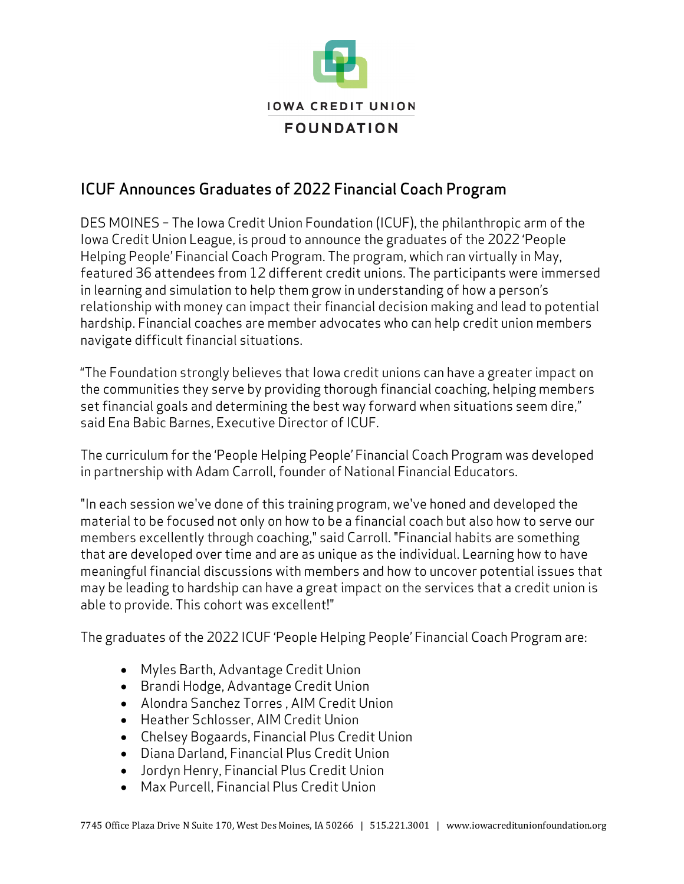

## ICUF Announces Graduates of 2022 Financial Coach Program

DES MOINES – The Iowa Credit Union Foundation (ICUF), the philanthropic arm of the Iowa Credit Union League, is proud to announce the graduates of the 2022 'People Helping People' Financial Coach Program. The program, which ran virtually in May, featured 36 attendees from 12 different credit unions. The participants were immersed in learning and simulation to help them grow in understanding of how a person's relationship with money can impact their financial decision making and lead to potential hardship. Financial coaches are member advocates who can help credit union members navigate difficult financial situations.

"The Foundation strongly believes that Iowa credit unions can have a greater impact on the communities they serve by providing thorough financial coaching, helping members set financial goals and determining the best way forward when situations seem dire," said Ena Babic Barnes, Executive Director of ICUF.

The curriculum for the 'People Helping People' Financial Coach Program was developed in partnership with Adam Carroll, founder of National Financial Educators.

"In each session we've done of this training program, we've honed and developed the material to be focused not only on how to be a financial coach but also how to serve our members excellently through coaching," said Carroll. "Financial habits are something that are developed over time and are as unique as the individual. Learning how to have meaningful financial discussions with members and how to uncover potential issues that may be leading to hardship can have a great impact on the services that a credit union is able to provide. This cohort was excellent!"

The graduates of the 2022 ICUF 'People Helping People' Financial Coach Program are:

- Myles Barth, Advantage Credit Union
- Brandi Hodge, Advantage Credit Union
- Alondra Sanchez Torres , AIM Credit Union
- Heather Schlosser, AIM Credit Union
- Chelsey Bogaards, Financial Plus Credit Union
- Diana Darland, Financial Plus Credit Union
- Jordyn Henry, Financial Plus Credit Union
- Max Purcell, Financial Plus Credit Union